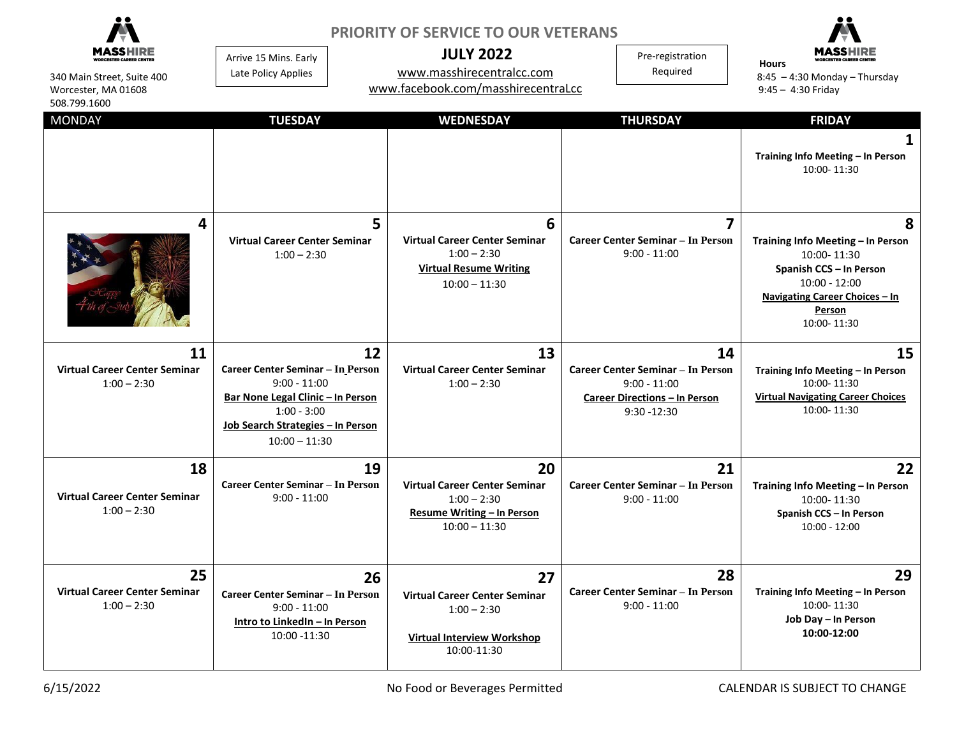| 340 Main Street, Suite 400<br>Worcester, MA 01608<br>508.799.1600 | <b>PRIORITY OF SERVICE TO OUR VETERANS</b><br><b>JULY 2022</b><br>Arrive 15 Mins. Early<br>www.masshirecentralcc.com<br>Late Policy Applies<br>www.facebook.com/masshirecentraLcc |                                                                                                                 | Pre-registration<br>Required                                                                                               | <b>Hours</b><br>$8:45 - 4:30$ Monday - Thursday<br>$9:45 - 4:30$ Friday                                                                                               |
|-------------------------------------------------------------------|-----------------------------------------------------------------------------------------------------------------------------------------------------------------------------------|-----------------------------------------------------------------------------------------------------------------|----------------------------------------------------------------------------------------------------------------------------|-----------------------------------------------------------------------------------------------------------------------------------------------------------------------|
| <b>MONDAY</b>                                                     | <b>TUESDAY</b>                                                                                                                                                                    | <b>WEDNESDAY</b>                                                                                                | <b>THURSDAY</b>                                                                                                            | <b>FRIDAY</b>                                                                                                                                                         |
|                                                                   |                                                                                                                                                                                   |                                                                                                                 |                                                                                                                            | 1<br>Training Info Meeting - In Person<br>10:00-11:30                                                                                                                 |
| 4                                                                 | 5<br><b>Virtual Career Center Seminar</b><br>$1:00 - 2:30$                                                                                                                        | 6<br><b>Virtual Career Center Seminar</b><br>$1:00 - 2:30$<br><b>Virtual Resume Writing</b><br>$10:00 - 11:30$  | 7<br><b>Career Center Seminar - In Person</b><br>$9:00 - 11:00$                                                            | 8<br>Training Info Meeting - In Person<br>10:00-11:30<br>Spanish CCS - In Person<br>$10:00 - 12:00$<br><b>Navigating Career Choices - In</b><br>Person<br>10:00-11:30 |
| 11<br><b>Virtual Career Center Seminar</b><br>$1:00 - 2:30$       | 12<br>Career Center Seminar - In Person<br>$9:00 - 11:00$<br>Bar None Legal Clinic - In Person<br>$1:00 - 3:00$<br>Job Search Strategies - In Person<br>$10:00 - 11:30$           | 13<br><b>Virtual Career Center Seminar</b><br>$1:00 - 2:30$                                                     | 14<br><b>Career Center Seminar - In Person</b><br>$9:00 - 11:00$<br><b>Career Directions - In Person</b><br>$9:30 - 12:30$ | 15<br>Training Info Meeting - In Person<br>10:00-11:30<br><b>Virtual Navigating Career Choices</b><br>10:00-11:30                                                     |
| 18<br><b>Virtual Career Center Seminar</b><br>$1:00 - 2:30$       | 19<br>Career Center Seminar - In Person<br>$9:00 - 11:00$                                                                                                                         | 20<br><b>Virtual Career Center Seminar</b><br>$1:00 - 2:30$<br>Resume Writing - In Person<br>$10:00 - 11:30$    | 21<br><b>Career Center Seminar - In Person</b><br>$9:00 - 11:00$                                                           | 22<br>Training Info Meeting - In Person<br>10:00-11:30<br>Spanish CCS - In Person<br>$10:00 - 12:00$                                                                  |
| 25<br><b>Virtual Career Center Seminar</b><br>$1:00 - 2:30$       | 26<br>Career Center Seminar - In Person<br>$9:00 - 11:00$<br>Intro to LinkedIn - In Person<br>10:00 -11:30                                                                        | 27<br><b>Virtual Career Center Seminar</b><br>$1:00 - 2:30$<br><b>Virtual Interview Workshop</b><br>10:00-11:30 | 28<br><b>Career Center Seminar - In Person</b><br>$9:00 - 11:00$                                                           | 29<br>Training Info Meeting - In Person<br>10:00-11:30<br>Job Day - In Person<br>10:00-12:00                                                                          |